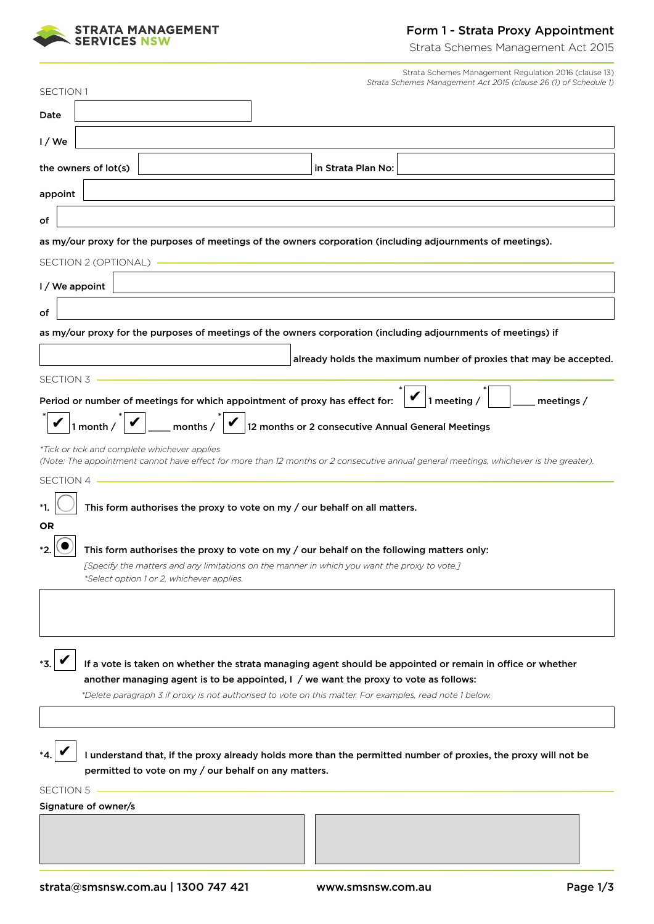

### Form 1 - Strata Proxy Appointment

Strata Schemes Management Act 2015

|           |                        |                                              |                                                      |                                                                                              | Strata Schemes Management Regulation 2016 (clause 13)                                                                                  |            |
|-----------|------------------------|----------------------------------------------|------------------------------------------------------|----------------------------------------------------------------------------------------------|----------------------------------------------------------------------------------------------------------------------------------------|------------|
| SECTION 1 |                        |                                              |                                                      |                                                                                              | Strata Schemes Management Act 2015 (clause 26 (1) of Schedule 1)                                                                       |            |
| Date      |                        |                                              |                                                      |                                                                                              |                                                                                                                                        |            |
| $1/$ We   |                        |                                              |                                                      |                                                                                              |                                                                                                                                        |            |
|           | the owners of lot(s)   |                                              |                                                      | in Strata Plan No:                                                                           |                                                                                                                                        |            |
| appoint   |                        |                                              |                                                      |                                                                                              |                                                                                                                                        |            |
| оf        |                        |                                              |                                                      |                                                                                              |                                                                                                                                        |            |
|           |                        |                                              |                                                      |                                                                                              | as my/our proxy for the purposes of meetings of the owners corporation (including adjournments of meetings).                           |            |
|           | SECTION 2 (OPTIONAL) - |                                              |                                                      |                                                                                              |                                                                                                                                        |            |
|           | I / We appoint         |                                              |                                                      |                                                                                              |                                                                                                                                        |            |
| оf        |                        |                                              |                                                      |                                                                                              |                                                                                                                                        |            |
|           |                        |                                              |                                                      |                                                                                              | as my/our proxy for the purposes of meetings of the owners corporation (including adjournments of meetings) if                         |            |
|           |                        |                                              |                                                      |                                                                                              | already holds the maximum number of proxies that may be accepted.                                                                      |            |
| SECTION 3 |                        |                                              |                                                      |                                                                                              |                                                                                                                                        |            |
|           |                        |                                              |                                                      | Period or number of meetings for which appointment of proxy has effect for:                  | $\blacktriangledown$ 1 meeting /                                                                                                       | meetings / |
|           | 1 month $/$            | months /                                     |                                                      |                                                                                              | 12 months or 2 consecutive Annual General Meetings                                                                                     |            |
|           |                        | *Tick or tick and complete whichever applies |                                                      |                                                                                              |                                                                                                                                        |            |
| SECTION 4 |                        |                                              |                                                      |                                                                                              | (Note: The appointment cannot have effect for more than 12 months or 2 consecutive annual general meetings, whichever is the greater). |            |
|           |                        |                                              |                                                      |                                                                                              |                                                                                                                                        |            |
| OR        |                        |                                              |                                                      | This form authorises the proxy to vote on my / our behalf on all matters.                    |                                                                                                                                        |            |
|           |                        |                                              |                                                      |                                                                                              | This form authorises the proxy to vote on my / our behalf on the following matters only:                                               |            |
|           |                        |                                              |                                                      | [Specify the matters and any limitations on the manner in which you want the proxy to vote.] |                                                                                                                                        |            |
|           |                        | *Select option 1 or 2, whichever applies.    |                                                      |                                                                                              |                                                                                                                                        |            |
|           |                        |                                              |                                                      |                                                                                              |                                                                                                                                        |            |
|           |                        |                                              |                                                      |                                                                                              |                                                                                                                                        |            |
|           |                        |                                              |                                                      |                                                                                              | If a vote is taken on whether the strata managing agent should be appointed or remain in office or whether                             |            |
|           |                        |                                              |                                                      | another managing agent is to be appointed, $I / w$ e want the proxy to vote as follows:      |                                                                                                                                        |            |
|           |                        |                                              |                                                      |                                                                                              | *Delete paragraph 3 if proxy is not authorised to vote on this matter. For examples, read note 1 below.                                |            |
|           |                        |                                              |                                                      |                                                                                              |                                                                                                                                        |            |
|           |                        |                                              |                                                      |                                                                                              | I understand that, if the proxy already holds more than the permitted number of proxies, the proxy will not be                         |            |
|           |                        |                                              | permitted to vote on my / our behalf on any matters. |                                                                                              |                                                                                                                                        |            |
| SECTION 5 | Signature of owner/s   |                                              |                                                      |                                                                                              |                                                                                                                                        |            |
|           |                        |                                              |                                                      |                                                                                              |                                                                                                                                        |            |
|           |                        |                                              |                                                      |                                                                                              |                                                                                                                                        |            |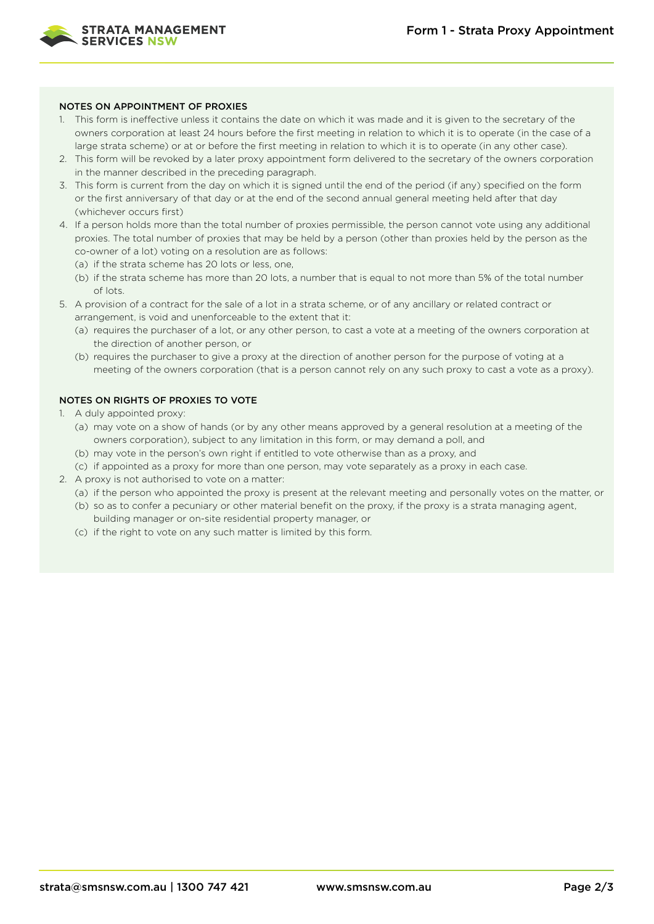

#### NOTES ON APPOINTMENT OF PROXIES

- 1. This form is ineffective unless it contains the date on which it was made and it is given to the secretary of the owners corporation at least 24 hours before the first meeting in relation to which it is to operate (in the case of a large strata scheme) or at or before the first meeting in relation to which it is to operate (in any other case).
- 2. This form will be revoked by a later proxy appointment form delivered to the secretary of the owners corporation in the manner described in the preceding paragraph.
- 3. This form is current from the day on which it is signed until the end of the period (if any) specified on the form or the first anniversary of that day or at the end of the second annual general meeting held after that day (whichever occurs first)
- 4. If a person holds more than the total number of proxies permissible, the person cannot vote using any additional proxies. The total number of proxies that may be held by a person (other than proxies held by the person as the co-owner of a lot) voting on a resolution are as follows:
	- (a) if the strata scheme has 20 lots or less, one,
	- (b) if the strata scheme has more than 20 lots, a number that is equal to not more than 5% of the total number of lots.
- 5. A provision of a contract for the sale of a lot in a strata scheme, or of any ancillary or related contract or arrangement, is void and unenforceable to the extent that it:
	- (a) requires the purchaser of a lot, or any other person, to cast a vote at a meeting of the owners corporation at the direction of another person, or
	- (b) requires the purchaser to give a proxy at the direction of another person for the purpose of voting at a meeting of the owners corporation (that is a person cannot rely on any such proxy to cast a vote as a proxy).

### NOTES ON RIGHTS OF PROXIES TO VOTE

- 1. A duly appointed proxy:
	- (a) may vote on a show of hands (or by any other means approved by a general resolution at a meeting of the owners corporation), subject to any limitation in this form, or may demand a poll, and
	- (b) may vote in the person's own right if entitled to vote otherwise than as a proxy, and
	- (c) if appointed as a proxy for more than one person, may vote separately as a proxy in each case.
- 2. A proxy is not authorised to vote on a matter:
	- (a) if the person who appointed the proxy is present at the relevant meeting and personally votes on the matter, or (b) so as to confer a pecuniary or other material benefit on the proxy, if the proxy is a strata managing agent,
	- building manager or on-site residential property manager, or
	- (c) if the right to vote on any such matter is limited by this form.